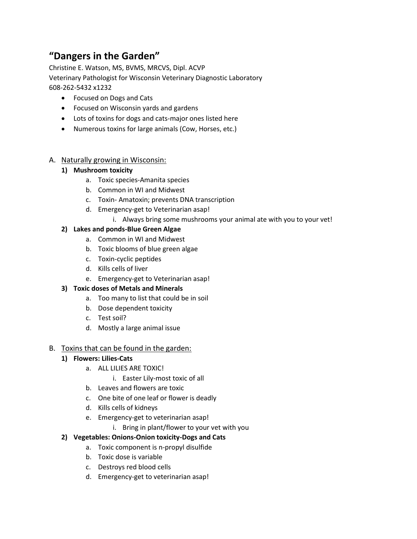# **"Dangers in the Garden"**

Christine E. Watson, MS, BVMS, MRCVS, Dipl. ACVP Veterinary Pathologist for Wisconsin Veterinary Diagnostic Laboratory 608-262-5432 x1232

- Focused on Dogs and Cats
- Focused on Wisconsin yards and gardens
- Lots of toxins for dogs and cats-major ones listed here
- Numerous toxins for large animals (Cow, Horses, etc.)

### A. Naturally growing in Wisconsin:

### **1) Mushroom toxicity**

- a. Toxic species-Amanita species
- b. Common in WI and Midwest
- c. Toxin- Amatoxin; prevents DNA transcription
- d. Emergency-get to Veterinarian asap!
	- i. Always bring some mushrooms your animal ate with you to your vet!

#### **2) Lakes and ponds-Blue Green Algae**

- a. Common in WI and Midwest
- b. Toxic blooms of blue green algae
- c. Toxin-cyclic peptides
- d. Kills cells of liver
- e. Emergency-get to Veterinarian asap!

### **3) Toxic doses of Metals and Minerals**

- a. Too many to list that could be in soil
- b. Dose dependent toxicity
- c. Test soil?
- d. Mostly a large animal issue

### B. Toxins that can be found in the garden:

### **1) Flowers: Lilies-Cats**

- a. ALL LILIES ARE TOXIC!
	- i. Easter Lily-most toxic of all
- b. Leaves and flowers are toxic
- c. One bite of one leaf or flower is deadly
- d. Kills cells of kidneys
- e. Emergency-get to veterinarian asap!
	- i. Bring in plant/flower to your vet with you

### **2) Vegetables: Onions-Onion toxicity-Dogs and Cats**

- a. Toxic component is n-propyl disulfide
- b. Toxic dose is variable
- c. Destroys red blood cells
- d. Emergency-get to veterinarian asap!